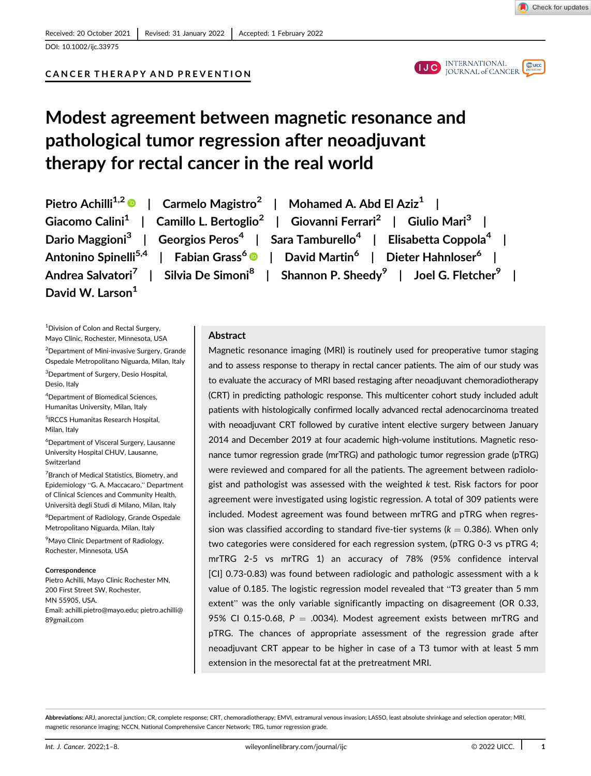

DOI: 10.1002/ijc.33975

# CANCER THERAPY AND PREVENTION



# Modest agreement between magnetic resonance and pathological tumor regression after neoadjuvant therapy for rectal cancer in the real world

David W. Larson<sup>1</sup>

Pietro Achilli<sup>1,2</sup> | Carmelo Magistro<sup>2</sup> | Mohamed A. Abd El Aziz<sup>1</sup> | Giacomo Calini<sup>1</sup> | Camillo L. Bertoglio<sup>2</sup> | Giovanni Ferrari<sup>2</sup> | Giulio Mari<sup>3</sup> | Dario Maggioni<sup>3</sup> | Georgios Peros<sup>4</sup> | Sara Tamburello<sup>4</sup> | Elisabetta Coppola<sup>4</sup> | Antonino Spinelli<sup>5,4</sup> | Fabian Grass<sup>6</sup> | David Martin<sup>6</sup> | Dieter Hahnloser<sup>6</sup> | Andrea Salvatori<sup>7</sup> | Silvia De Simoni<sup>8</sup> | Shannon P. Sheedy<sup>9</sup> | Joel G. Fletcher<sup>9</sup> |

1 Division of Colon and Rectal Surgery, Mayo Clinic, Rochester, Minnesota, USA <sup>2</sup>Department of Mini-invasive Surgery, Grande

Ospedale Metropolitano Niguarda, Milan, Italy 3 Department of Surgery, Desio Hospital,

Desio, Italy

4 Department of Biomedical Sciences, Humanitas University, Milan, Italy

5 IRCCS Humanitas Research Hospital, Milan, Italy

6 Department of Visceral Surgery, Lausanne University Hospital CHUV, Lausanne, Switzerland

<sup>7</sup> Branch of Medical Statistics, Biometry, and Epidemiology "G. A. Maccacaro," Department of Clinical Sciences and Community Health, Università degli Studi di Milano, Milan, Italy

<sup>8</sup>Department of Radiology, Grande Ospedale Metropolitano Niguarda, Milan, Italy

<sup>9</sup> Mayo Clinic Department of Radiology, Rochester, Minnesota, USA

#### **Correspondence**

Pietro Achilli, Mayo Clinic Rochester MN, 200 First Street SW, Rochester, MN 55905, USA. Email: [achilli.pietro@mayo.edu;](mailto:achilli.pietro@mayo.edu) [pietro.achilli@](mailto:pietro.achilli@89gmail.com) [89gmail.com](mailto:pietro.achilli@89gmail.com)

## Abstract

Magnetic resonance imaging (MRI) is routinely used for preoperative tumor staging and to assess response to therapy in rectal cancer patients. The aim of our study was to evaluate the accuracy of MRI based restaging after neoadjuvant chemoradiotherapy (CRT) in predicting pathologic response. This multicenter cohort study included adult patients with histologically confirmed locally advanced rectal adenocarcinoma treated with neoadjuvant CRT followed by curative intent elective surgery between January 2014 and December 2019 at four academic high-volume institutions. Magnetic resonance tumor regression grade (mrTRG) and pathologic tumor regression grade (pTRG) were reviewed and compared for all the patients. The agreement between radiologist and pathologist was assessed with the weighted k test. Risk factors for poor agreement were investigated using logistic regression. A total of 309 patients were included. Modest agreement was found between mrTRG and pTRG when regression was classified according to standard five-tier systems ( $k = 0.386$ ). When only two categories were considered for each regression system, (pTRG 0-3 vs pTRG 4; mrTRG 2-5 vs mrTRG 1) an accuracy of 78% (95% confidence interval [CI] 0.73-0.83) was found between radiologic and pathologic assessment with a k value of 0.185. The logistic regression model revealed that "T3 greater than 5 mm extent" was the only variable significantly impacting on disagreement (OR 0.33, 95% CI 0.15-0.68,  $P = .0034$ ). Modest agreement exists between mrTRG and pTRG. The chances of appropriate assessment of the regression grade after neoadjuvant CRT appear to be higher in case of a T3 tumor with at least 5 mm extension in the mesorectal fat at the pretreatment MRI.

Abbreviations: ARJ, anorectal junction; CR, complete response; CRT, chemoradiotherapy; EMVI, extramural venous invasion; LASSO, least absolute shrinkage and selection operator; MRI, magnetic resonance imaging; NCCN, National Comprehensive Cancer Network; TRG, tumor regression grade.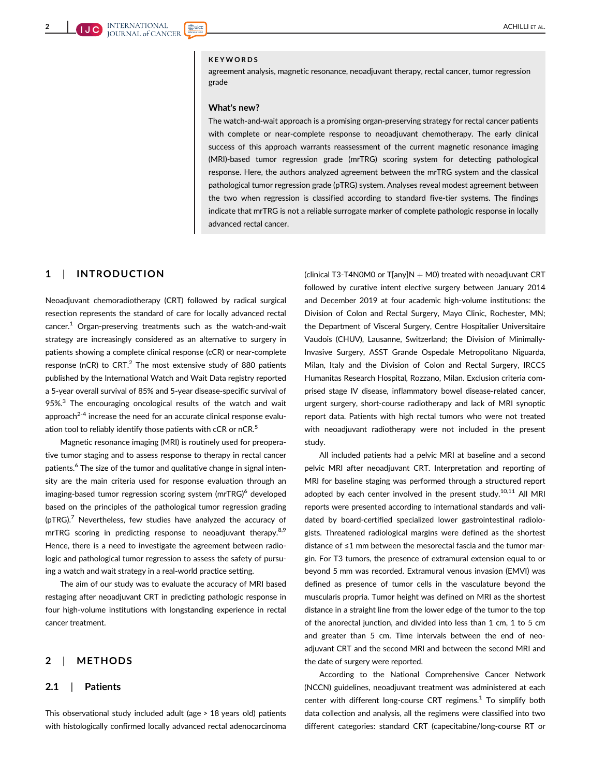#### KEYWORDS

agreement analysis, magnetic resonance, neoadjuvant therapy, rectal cancer, tumor regression grade

#### What's new?

The watch-and-wait approach is a promising organ-preserving strategy for rectal cancer patients with complete or near-complete response to neoadjuvant chemotherapy. The early clinical success of this approach warrants reassessment of the current magnetic resonance imaging (MRI)-based tumor regression grade (mrTRG) scoring system for detecting pathological response. Here, the authors analyzed agreement between the mrTRG system and the classical pathological tumor regression grade (pTRG) system. Analyses reveal modest agreement between the two when regression is classified according to standard five-tier systems. The findings indicate that mrTRG is not a reliable surrogate marker of complete pathologic response in locally advanced rectal cancer.

## 1 | INTRODUCTION

Neoadjuvant chemoradiotherapy (CRT) followed by radical surgical resection represents the standard of care for locally advanced rectal  $cancer<sup>1</sup>$  Organ-preserving treatments such as the watch-and-wait strategy are increasingly considered as an alternative to surgery in patients showing a complete clinical response (cCR) or near-complete response (nCR) to  $CRT<sup>2</sup>$  The most extensive study of 880 patients published by the International Watch and Wait Data registry reported a 5-year overall survival of 85% and 5-year disease-specific survival of 95%.<sup>3</sup> The encouraging oncological results of the watch and wait approach<sup>2-4</sup> increase the need for an accurate clinical response evaluation tool to reliably identify those patients with cCR or nCR.<sup>5</sup>

Magnetic resonance imaging (MRI) is routinely used for preoperative tumor staging and to assess response to therapy in rectal cancer patients.<sup>6</sup> The size of the tumor and qualitative change in signal intensity are the main criteria used for response evaluation through an imaging-based tumor regression scoring system (mrTRG)<sup>6</sup> developed based on the principles of the pathological tumor regression grading  $(pTRG)<sup>7</sup>$  Nevertheless, few studies have analyzed the accuracy of mrTRG scoring in predicting response to neoadjuvant therapy.<sup>8,9</sup> Hence, there is a need to investigate the agreement between radiologic and pathological tumor regression to assess the safety of pursuing a watch and wait strategy in a real-world practice setting.

The aim of our study was to evaluate the accuracy of MRI based restaging after neoadjuvant CRT in predicting pathologic response in four high-volume institutions with longstanding experience in rectal cancer treatment.

## 2 | METHODS

#### 2.1 | Patients

This observational study included adult (age > 18 years old) patients with histologically confirmed locally advanced rectal adenocarcinoma

(clinical T3-T4N0M0 or T[any]N  $+$  M0) treated with neoadjuvant CRT followed by curative intent elective surgery between January 2014 and December 2019 at four academic high-volume institutions: the Division of Colon and Rectal Surgery, Mayo Clinic, Rochester, MN; the Department of Visceral Surgery, Centre Hospitalier Universitaire Vaudois (CHUV), Lausanne, Switzerland; the Division of Minimally-Invasive Surgery, ASST Grande Ospedale Metropolitano Niguarda, Milan, Italy and the Division of Colon and Rectal Surgery, IRCCS Humanitas Research Hospital, Rozzano, Milan. Exclusion criteria comprised stage IV disease, inflammatory bowel disease-related cancer, urgent surgery, short-course radiotherapy and lack of MRI synoptic report data. Patients with high rectal tumors who were not treated with neoadjuvant radiotherapy were not included in the present study.

All included patients had a pelvic MRI at baseline and a second pelvic MRI after neoadjuvant CRT. Interpretation and reporting of MRI for baseline staging was performed through a structured report adopted by each center involved in the present study.<sup>10,11</sup> All MRI reports were presented according to international standards and validated by board-certified specialized lower gastrointestinal radiologists. Threatened radiological margins were defined as the shortest distance of ≤1 mm between the mesorectal fascia and the tumor margin. For T3 tumors, the presence of extramural extension equal to or beyond 5 mm was recorded. Extramural venous invasion (EMVI) was defined as presence of tumor cells in the vasculature beyond the muscularis propria. Tumor height was defined on MRI as the shortest distance in a straight line from the lower edge of the tumor to the top of the anorectal junction, and divided into less than 1 cm, 1 to 5 cm and greater than 5 cm. Time intervals between the end of neoadjuvant CRT and the second MRI and between the second MRI and the date of surgery were reported.

According to the National Comprehensive Cancer Network (NCCN) guidelines, neoadjuvant treatment was administered at each center with different long-course CRT regimens. $1$  To simplify both data collection and analysis, all the regimens were classified into two different categories: standard CRT (capecitabine/long-course RT or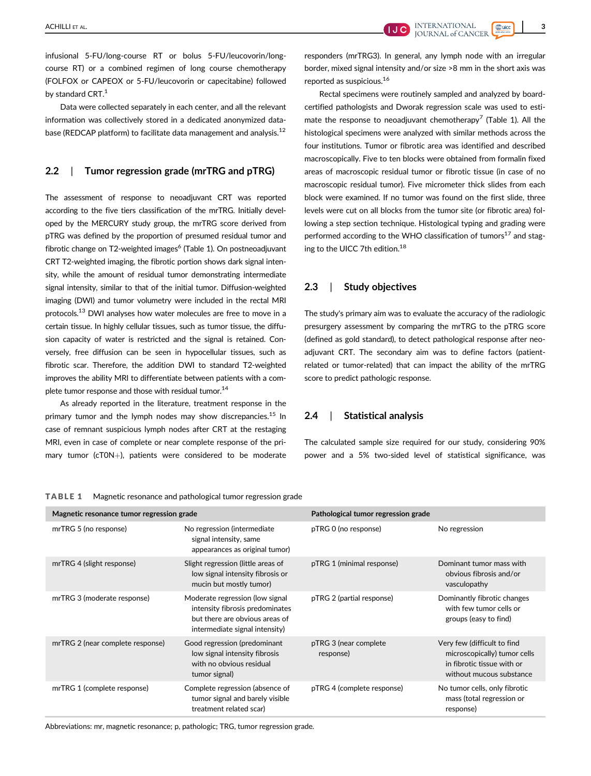Data were collected separately in each center, and all the relevant information was collectively stored in a dedicated anonymized database (REDCAP platform) to facilitate data management and analysis.<sup>12</sup>

## 2.2 | Tumor regression grade (mrTRG and pTRG)

The assessment of response to neoadjuvant CRT was reported according to the five tiers classification of the mrTRG. Initially developed by the MERCURY study group, the mrTRG score derived from pTRG was defined by the proportion of presumed residual tumor and fibrotic change on T2-weighted images<sup>6</sup> (Table 1). On postneoadjuvant CRT T2-weighted imaging, the fibrotic portion shows dark signal intensity, while the amount of residual tumor demonstrating intermediate signal intensity, similar to that of the initial tumor. Diffusion-weighted imaging (DWI) and tumor volumetry were included in the rectal MRI protocols.<sup>13</sup> DWI analyses how water molecules are free to move in a certain tissue. In highly cellular tissues, such as tumor tissue, the diffusion capacity of water is restricted and the signal is retained. Conversely, free diffusion can be seen in hypocellular tissues, such as fibrotic scar. Therefore, the addition DWI to standard T2-weighted improves the ability MRI to differentiate between patients with a complete tumor response and those with residual tumor.<sup>14</sup>

As already reported in the literature, treatment response in the primary tumor and the lymph nodes may show discrepancies.<sup>15</sup> In case of remnant suspicious lymph nodes after CRT at the restaging MRI, even in case of complete or near complete response of the primary tumor (cT0N+), patients were considered to be moderate

responders (mrTRG3). In general, any lymph node with an irregular border, mixed signal intensity and/or size >8 mm in the short axis was reported as suspicious.16

Rectal specimens were routinely sampled and analyzed by boardcertified pathologists and Dworak regression scale was used to estimate the response to neoadjuvant chemotherapy<sup>7</sup> (Table 1). All the histological specimens were analyzed with similar methods across the four institutions. Tumor or fibrotic area was identified and described macroscopically. Five to ten blocks were obtained from formalin fixed areas of macroscopic residual tumor or fibrotic tissue (in case of no macroscopic residual tumor). Five micrometer thick slides from each block were examined. If no tumor was found on the first slide, three levels were cut on all blocks from the tumor site (or fibrotic area) following a step section technique. Histological typing and grading were performed according to the WHO classification of tumors $17$  and staging to the UICC 7th edition.<sup>18</sup>

## 2.3 | Study objectives

The study's primary aim was to evaluate the accuracy of the radiologic presurgery assessment by comparing the mrTRG to the pTRG score (defined as gold standard), to detect pathological response after neoadjuvant CRT. The secondary aim was to define factors (patientrelated or tumor-related) that can impact the ability of the mrTRG score to predict pathologic response.

## 2.4 | Statistical analysis

The calculated sample size required for our study, considering 90% power and a 5% two-sided level of statistical significance, was

| Magnetic resonance tumor regression grade |                                                                                                                                        | Pathological tumor regression grade |                                                                                                                       |  |
|-------------------------------------------|----------------------------------------------------------------------------------------------------------------------------------------|-------------------------------------|-----------------------------------------------------------------------------------------------------------------------|--|
| mrTRG 5 (no response)                     | No regression (intermediate<br>signal intensity, same<br>appearances as original tumor)                                                | pTRG 0 (no response)                | No regression                                                                                                         |  |
| mrTRG 4 (slight response)                 | Slight regression (little areas of<br>low signal intensity fibrosis or<br>mucin but mostly tumor)                                      | pTRG 1 (minimal response)           | Dominant tumor mass with<br>obvious fibrosis and/or<br>vasculopathy                                                   |  |
| mrTRG 3 (moderate response)               | Moderate regression (low signal<br>intensity fibrosis predominates<br>but there are obvious areas of<br>intermediate signal intensity) | pTRG 2 (partial response)           | Dominantly fibrotic changes<br>with few tumor cells or<br>groups (easy to find)                                       |  |
| mrTRG 2 (near complete response)          | Good regression (predominant<br>low signal intensity fibrosis<br>with no obvious residual<br>tumor signal)                             | pTRG 3 (near complete<br>response)  | Very few (difficult to find<br>microscopically) tumor cells<br>in fibrotic tissue with or<br>without mucous substance |  |
| mrTRG 1 (complete response)               | Complete regression (absence of<br>tumor signal and barely visible<br>treatment related scar)                                          | pTRG 4 (complete response)          | No tumor cells, only fibrotic<br>mass (total regression or<br>response)                                               |  |

TABLE 1 Magnetic resonance and pathological tumor regression grade

Abbreviations: mr, magnetic resonance; p, pathologic; TRG, tumor regression grade.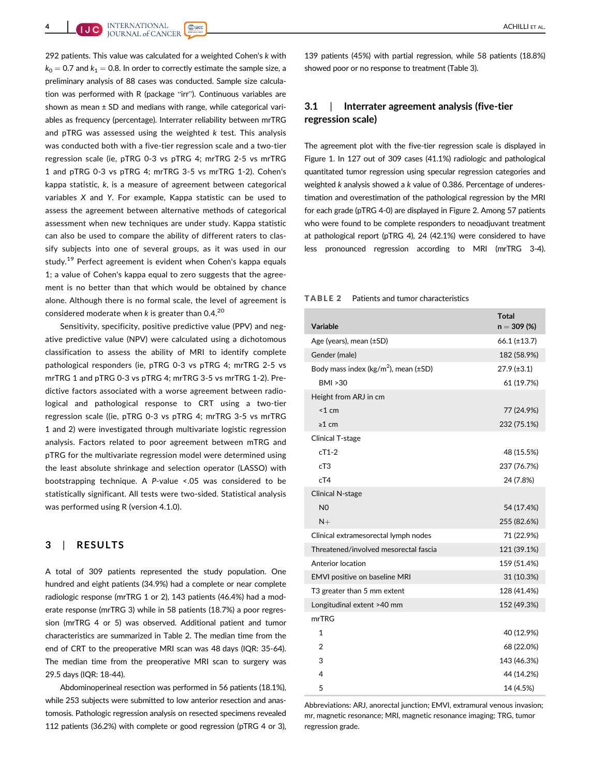292 patients. This value was calculated for a weighted Cohen's k with  $k_0 = 0.7$  and  $k_1 = 0.8$ . In order to correctly estimate the sample size, a preliminary analysis of 88 cases was conducted. Sample size calculation was performed with R (package "irr"). Continuous variables are shown as mean  $\pm$  SD and medians with range, while categorical variables as frequency (percentage). Interrater reliability between mrTRG and  $pTRG$  was assessed using the weighted  $k$  test. This analysis was conducted both with a five-tier regression scale and a two-tier regression scale (ie, pTRG 0-3 vs pTRG 4; mrTRG 2-5 vs mrTRG 1 and pTRG 0-3 vs pTRG 4; mrTRG 3-5 vs mrTRG 1-2). Cohen's kappa statistic, k, is a measure of agreement between categorical variables X and Y. For example, Kappa statistic can be used to assess the agreement between alternative methods of categorical assessment when new techniques are under study. Kappa statistic can also be used to compare the ability of different raters to classify subjects into one of several groups, as it was used in our study.<sup>19</sup> Perfect agreement is evident when Cohen's kappa equals 1; a value of Cohen's kappa equal to zero suggests that the agreement is no better than that which would be obtained by chance alone. Although there is no formal scale, the level of agreement is considered moderate when  $k$  is greater than 0.4.<sup>20</sup>

Sensitivity, specificity, positive predictive value (PPV) and negative predictive value (NPV) were calculated using a dichotomous classification to assess the ability of MRI to identify complete pathological responders (ie, pTRG 0-3 vs pTRG 4; mrTRG 2-5 vs mrTRG 1 and pTRG 0-3 vs pTRG 4; mrTRG 3-5 vs mrTRG 1-2). Predictive factors associated with a worse agreement between radiological and pathological response to CRT using a two-tier regression scale ((ie, pTRG 0-3 vs pTRG 4; mrTRG 3-5 vs mrTRG 1 and 2) were investigated through multivariate logistic regression analysis. Factors related to poor agreement between mTRG and pTRG for the multivariate regression model were determined using the least absolute shrinkage and selection operator (LASSO) with bootstrapping technique. A P-value <.05 was considered to be statistically significant. All tests were two-sided. Statistical analysis was performed using R (version 4.1.0).

#### 3 | RESULTS

A total of 309 patients represented the study population. One hundred and eight patients (34.9%) had a complete or near complete radiologic response (mrTRG 1 or 2), 143 patients (46.4%) had a moderate response (mrTRG 3) while in 58 patients (18.7%) a poor regression (mrTRG 4 or 5) was observed. Additional patient and tumor characteristics are summarized in Table 2. The median time from the end of CRT to the preoperative MRI scan was 48 days (IQR: 35-64). The median time from the preoperative MRI scan to surgery was 29.5 days (IQR: 18-44).

Abdominoperineal resection was performed in 56 patients (18.1%), while 253 subjects were submitted to low anterior resection and anastomosis. Pathologic regression analysis on resected specimens revealed 112 patients (36.2%) with complete or good regression (pTRG 4 or 3),

139 patients (45%) with partial regression, while 58 patients (18.8%) showed poor or no response to treatment (Table 3).

## 3.1 | Interrater agreement analysis (five-tier regression scale)

The agreement plot with the five-tier regression scale is displayed in Figure 1. In 127 out of 309 cases (41.1%) radiologic and pathological quantitated tumor regression using specular regression categories and weighted k analysis showed a k value of 0.386. Percentage of underestimation and overestimation of the pathological regression by the MRI for each grade (pTRG 4-0) are displayed in Figure 2. Among 57 patients who were found to be complete responders to neoadjuvant treatment at pathological report (pTRG 4), 24 (42.1%) were considered to have less pronounced regression according to MRI (mrTRG 3-4).

#### TABLE 2 Patients and tumor characteristics

| Variable                                      | <b>Total</b><br>$n = 309 (%)$ |
|-----------------------------------------------|-------------------------------|
| Age (years), mean (±SD)                       | $66.1 (\pm 13.7)$             |
| Gender (male)                                 | 182 (58.9%)                   |
| Body mass index ( $kg/m2$ ), mean ( $\pm$ SD) | $27.9 (\pm 3.1)$              |
| <b>BMI &gt;30</b>                             | 61 (19.7%)                    |
| Height from ARJ in cm                         |                               |
| < 1 cm                                        | 77 (24.9%)                    |
| $\geq 1$ cm                                   | 232 (75.1%)                   |
| <b>Clinical T-stage</b>                       |                               |
| $cT1-2$                                       | 48 (15.5%)                    |
| cT3                                           | 237 (76.7%)                   |
| cT4                                           | 24 (7.8%)                     |
| <b>Clinical N-stage</b>                       |                               |
| N <sub>0</sub>                                | 54 (17.4%)                    |
| $N+$                                          | 255 (82.6%)                   |
| Clinical extramesorectal lymph nodes          | 71 (22.9%)                    |
| Threatened/involved mesorectal fascia         | 121 (39.1%)                   |
| Anterior location                             | 159 (51.4%)                   |
| EMVI positive on baseline MRI                 | 31 (10.3%)                    |
| T <sub>3</sub> greater than 5 mm extent       | 128 (41.4%)                   |
| Longitudinal extent >40 mm                    | 152 (49.3%)                   |
| mrTRG                                         |                               |
| $\mathbf{1}$                                  | 40 (12.9%)                    |
| 2                                             | 68 (22.0%)                    |
| 3                                             | 143 (46.3%)                   |
| 4                                             | 44 (14.2%)                    |
| 5                                             | 14 (4.5%)                     |

Abbreviations: ARJ, anorectal junction; EMVI, extramural venous invasion; mr, magnetic resonance; MRI, magnetic resonance imaging; TRG, tumor regression grade.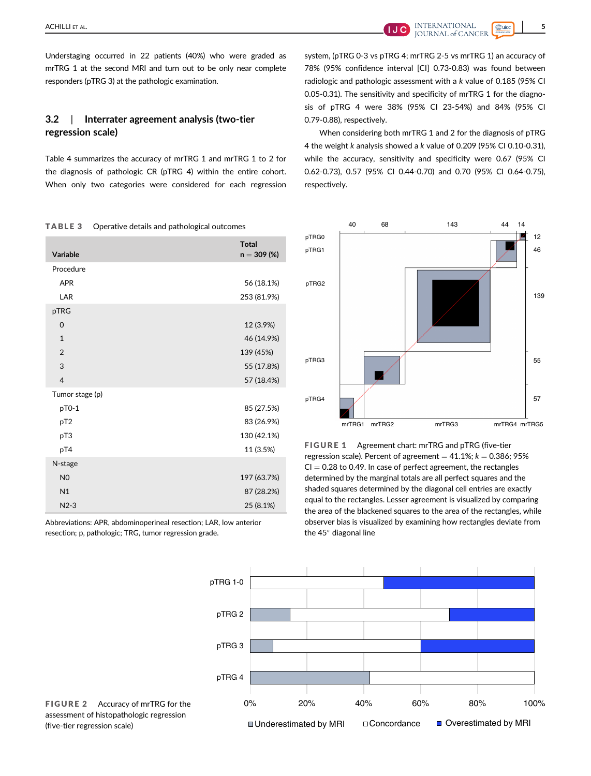ACHILLI ET AL. **SANTERNATIONAL** STRAIGHT AND THE SANTE REPORT OF THE SANTE REPORT OF THE SANTE REPORT OF THE SANTE REPORT OF THE SANTE REPORT OF THE SANTE REPORT OF THE SANTE REPORT OF THE SANTE REPORT OF THE SANTE REPORT

# 3.2 | Interrater agreement analysis (two-tier regression scale)

TABLE 3 Operative details and pathological outcomes

Table 4 summarizes the accuracy of mrTRG 1 and mrTRG 1 to 2 for the diagnosis of pathologic CR (pTRG 4) within the entire cohort. When only two categories were considered for each regression

| Variable        | <b>Total</b><br>$n = 309 (%)$ |
|-----------------|-------------------------------|
| Procedure       |                               |
| <b>APR</b>      | 56 (18.1%)                    |
| LAR             | 253 (81.9%)                   |
| pTRG            |                               |
| $\mathbf 0$     | 12 (3.9%)                     |
| $\mathbf{1}$    | 46 (14.9%)                    |
| $\overline{2}$  | 139 (45%)                     |
| 3               | 55 (17.8%)                    |
| $\overline{4}$  | 57 (18.4%)                    |
| Tumor stage (p) |                               |
| pT0-1           | 85 (27.5%)                    |
| pT <sub>2</sub> | 83 (26.9%)                    |
| pT3             | 130 (42.1%)                   |
| pT4             | 11 (3.5%)                     |
| N-stage         |                               |
| N <sub>0</sub>  | 197 (63.7%)                   |
| N1              | 87 (28.2%)                    |
| $N2-3$          | 25 (8.1%)                     |

Abbreviations: APR, abdominoperineal resection; LAR, low anterior resection; p, pathologic; TRG, tumor regression grade.



When considering both mrTRG 1 and 2 for the diagnosis of pTRG 4 the weight k analysis showed a k value of 0.209 (95% CI 0.10-0.31), while the accuracy, sensitivity and specificity were 0.67 (95% CI 0.62-0.73), 0.57 (95% CI 0.44-0.70) and 0.70 (95% CI 0.64-0.75), respectively.



FIGURE 1 Agreement chart: mrTRG and pTRG (five-tier regression scale). Percent of agreement  $= 41.1\%$ ;  $k = 0.386$ ; 95%  $CI = 0.28$  to 0.49. In case of perfect agreement, the rectangles determined by the marginal totals are all perfect squares and the shaded squares determined by the diagonal cell entries are exactly equal to the rectangles. Lesser agreement is visualized by comparing the area of the blackened squares to the area of the rectangles, while observer bias is visualized by examining how rectangles deviate from the  $45^\circ$  diagonal line



FIGURE 2 Accuracy of mrTRG for the assessment of histopathologic regression (five-tier regression scale)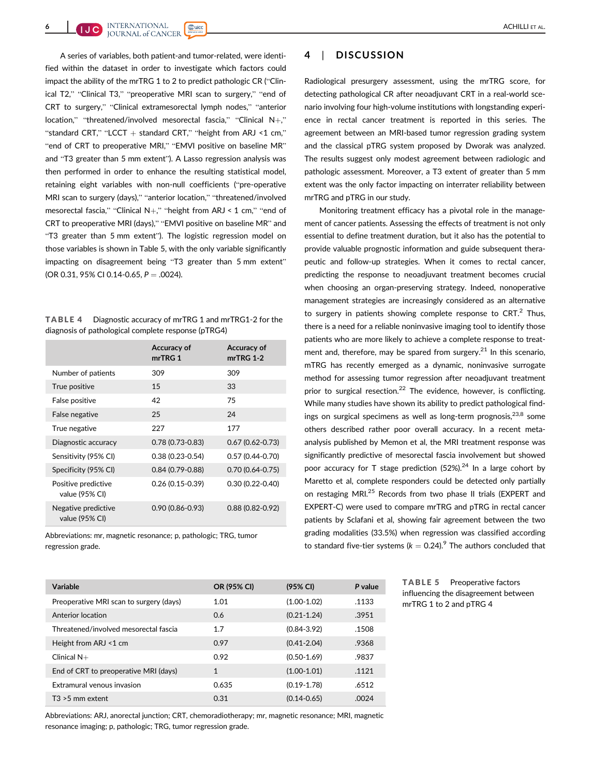A series of variables, both patient-and tumor-related, were identified within the dataset in order to investigate which factors could impact the ability of the mrTRG 1 to 2 to predict pathologic CR ("Clinical T2," "Clinical T3," "preoperative MRI scan to surgery," "end of CRT to surgery," "Clinical extramesorectal lymph nodes," "anterior location," "threatened/involved mesorectal fascia," "Clinical N+," "standard CRT," "LCCT  $+$  standard CRT," "height from ARJ <1 cm," "end of CRT to preoperative MRI," "EMVI positive on baseline MR" and "T3 greater than 5 mm extent"). A Lasso regression analysis was then performed in order to enhance the resulting statistical model, retaining eight variables with non-null coefficients ("pre-operative MRI scan to surgery (days)," "anterior location," "threatened/involved mesorectal fascia," "Clinical N+," "height from ARJ < 1 cm," "end of CRT to preoperative MRI (days)," "EMVI positive on baseline MR" and "T3 greater than 5 mm extent"). The logistic regression model on those variables is shown in Table 5, with the only variable significantly impacting on disagreement being "T3 greater than 5 mm extent" (OR 0.31, 95% CI 0.14-0.65,  $P = .0024$ ).

TABLE 4 Diagnostic accuracy of mrTRG 1 and mrTRG1-2 for the diagnosis of pathological complete response (pTRG4)

|                                       | Accuracy of<br>mrTRG 1 | Accuracy of<br>$mrTRG$ 1-2 |
|---------------------------------------|------------------------|----------------------------|
| Number of patients                    | 309                    | 309                        |
| True positive                         | 15                     | 33                         |
| False positive                        | 42                     | 75                         |
| False negative                        | 25                     | 24                         |
| True negative                         | 227                    | 177                        |
| Diagnostic accuracy                   | $0.78(0.73-0.83)$      | $0.67(0.62 - 0.73)$        |
| Sensitivity (95% CI)                  | $0.38(0.23 - 0.54)$    | $0.57(0.44 - 0.70)$        |
| Specificity (95% CI)                  | $0.84(0.79 - 0.88)$    | $0.70(0.64 - 0.75)$        |
| Positive predictive<br>value (95% CI) | $0.26(0.15-0.39)$      | $0.30(0.22 - 0.40)$        |
| Negative predictive<br>value (95% CI) | $0.90(0.86 - 0.93)$    | $0.88(0.82 - 0.92)$        |

Abbreviations: mr, magnetic resonance; p, pathologic; TRG, tumor regression grade.

## 4 | DISCUSSION

Radiological presurgery assessment, using the mrTRG score, for detecting pathological CR after neoadjuvant CRT in a real-world scenario involving four high-volume institutions with longstanding experience in rectal cancer treatment is reported in this series. The agreement between an MRI-based tumor regression grading system and the classical pTRG system proposed by Dworak was analyzed. The results suggest only modest agreement between radiologic and pathologic assessment. Moreover, a T3 extent of greater than 5 mm extent was the only factor impacting on interrater reliability between mrTRG and pTRG in our study.

Monitoring treatment efficacy has a pivotal role in the management of cancer patients. Assessing the effects of treatment is not only essential to define treatment duration, but it also has the potential to provide valuable prognostic information and guide subsequent therapeutic and follow-up strategies. When it comes to rectal cancer, predicting the response to neoadjuvant treatment becomes crucial when choosing an organ-preserving strategy. Indeed, nonoperative management strategies are increasingly considered as an alternative to surgery in patients showing complete response to  $CRT<sup>2</sup>$  Thus, there is a need for a reliable noninvasive imaging tool to identify those patients who are more likely to achieve a complete response to treatment and, therefore, may be spared from surgery. $21$  In this scenario, mTRG has recently emerged as a dynamic, noninvasive surrogate method for assessing tumor regression after neoadjuvant treatment prior to surgical resection.<sup>22</sup> The evidence, however, is conflicting. While many studies have shown its ability to predict pathological findings on surgical specimens as well as long-term prognosis,  $23,8$  some others described rather poor overall accuracy. In a recent metaanalysis published by Memon et al, the MRI treatment response was significantly predictive of mesorectal fascia involvement but showed poor accuracy for T stage prediction  $(52%)^{24}$  In a large cohort by Maretto et al, complete responders could be detected only partially on restaging MRI.<sup>25</sup> Records from two phase II trials (EXPERT and EXPERT-C) were used to compare mrTRG and pTRG in rectal cancer patients by Sclafani et al, showing fair agreement between the two grading modalities (33.5%) when regression was classified according to standard five-tier systems ( $k = 0.24$ ).<sup>9</sup> The authors concluded that

| Variable                                | OR (95% CI)  | (95% CI)        | P value |
|-----------------------------------------|--------------|-----------------|---------|
| Preoperative MRI scan to surgery (days) | 1.01         | $(1.00-1.02)$   | .1133   |
| Anterior location                       | 0.6          | $(0.21 - 1.24)$ | .3951   |
| Threatened/involved mesorectal fascia   | 1.7          | $(0.84 - 3.92)$ | .1508   |
| Height from ARJ <1 cm                   | 0.97         | $(0.41 - 2.04)$ | .9368   |
| Clinical $N+$                           | 0.92         | $(0.50 - 1.69)$ | .9837   |
| End of CRT to preoperative MRI (days)   | $\mathbf{1}$ | $(1.00-1.01)$   | .1121   |
| Extramural venous invasion              | 0.635        | $(0.19 - 1.78)$ | .6512   |
| $T3 > 5$ mm extent                      | 0.31         | $(0.14 - 0.65)$ | .0024   |

Abbreviations: ARJ, anorectal junction; CRT, chemoradiotherapy; mr, magnetic resonance; MRI, magnetic resonance imaging; p, pathologic; TRG, tumor regression grade.

TABLE 5 Preoperative factors influencing the disagreement between mrTRG 1 to 2 and pTRG 4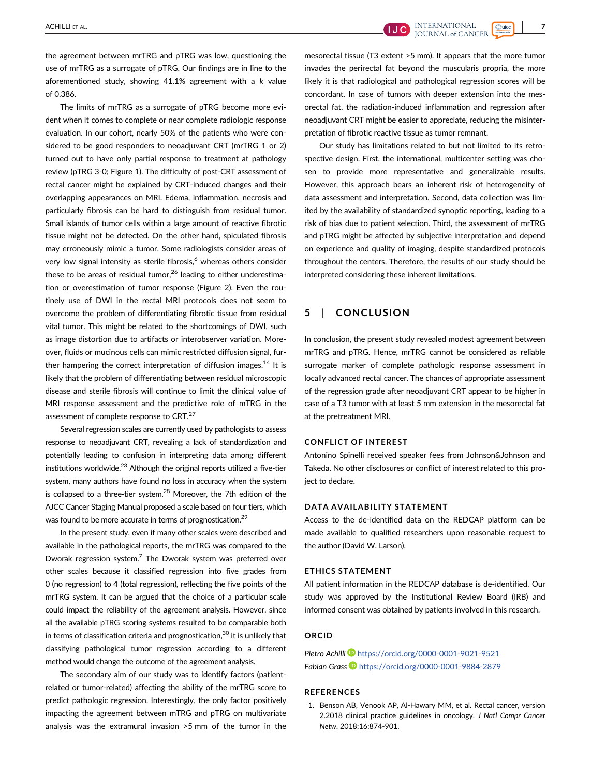the agreement between mrTRG and pTRG was low, questioning the use of mrTRG as a surrogate of pTRG. Our findings are in line to the aforementioned study, showing 41.1% agreement with a k value of 0.386.

The limits of mrTRG as a surrogate of pTRG become more evident when it comes to complete or near complete radiologic response evaluation. In our cohort, nearly 50% of the patients who were considered to be good responders to neoadjuvant CRT (mrTRG 1 or 2) turned out to have only partial response to treatment at pathology review (pTRG 3-0; Figure 1). The difficulty of post-CRT assessment of rectal cancer might be explained by CRT-induced changes and their overlapping appearances on MRI. Edema, inflammation, necrosis and particularly fibrosis can be hard to distinguish from residual tumor. Small islands of tumor cells within a large amount of reactive fibrotic tissue might not be detected. On the other hand, spiculated fibrosis may erroneously mimic a tumor. Some radiologists consider areas of very low signal intensity as sterile fibrosis,<sup>6</sup> whereas others consider these to be areas of residual tumor,<sup>26</sup> leading to either underestimation or overestimation of tumor response (Figure 2). Even the routinely use of DWI in the rectal MRI protocols does not seem to overcome the problem of differentiating fibrotic tissue from residual vital tumor. This might be related to the shortcomings of DWI, such as image distortion due to artifacts or interobserver variation. Moreover, fluids or mucinous cells can mimic restricted diffusion signal, further hampering the correct interpretation of diffusion images.<sup>14</sup> It is likely that the problem of differentiating between residual microscopic disease and sterile fibrosis will continue to limit the clinical value of MRI response assessment and the predictive role of mTRG in the assessment of complete response to CRT.<sup>27</sup>

Several regression scales are currently used by pathologists to assess response to neoadjuvant CRT, revealing a lack of standardization and potentially leading to confusion in interpreting data among different institutions worldwide.<sup>23</sup> Although the original reports utilized a five-tier system, many authors have found no loss in accuracy when the system is collapsed to a three-tier system.<sup>28</sup> Moreover, the 7th edition of the AJCC Cancer Staging Manual proposed a scale based on four tiers, which was found to be more accurate in terms of prognostication.<sup>29</sup>

In the present study, even if many other scales were described and available in the pathological reports, the mrTRG was compared to the Dworak regression system.<sup>7</sup> The Dworak system was preferred over other scales because it classified regression into five grades from 0 (no regression) to 4 (total regression), reflecting the five points of the mrTRG system. It can be argued that the choice of a particular scale could impact the reliability of the agreement analysis. However, since all the available pTRG scoring systems resulted to be comparable both in terms of classification criteria and prognostication, $30$  it is unlikely that classifying pathological tumor regression according to a different method would change the outcome of the agreement analysis.

The secondary aim of our study was to identify factors (patientrelated or tumor-related) affecting the ability of the mrTRG score to predict pathologic regression. Interestingly, the only factor positively impacting the agreement between mTRG and pTRG on multivariate analysis was the extramural invasion >5 mm of the tumor in the

mesorectal tissue (T3 extent >5 mm). It appears that the more tumor invades the perirectal fat beyond the muscularis propria, the more likely it is that radiological and pathological regression scores will be concordant. In case of tumors with deeper extension into the mesorectal fat, the radiation-induced inflammation and regression after neoadjuvant CRT might be easier to appreciate, reducing the misinterpretation of fibrotic reactive tissue as tumor remnant.

Our study has limitations related to but not limited to its retrospective design. First, the international, multicenter setting was chosen to provide more representative and generalizable results. However, this approach bears an inherent risk of heterogeneity of data assessment and interpretation. Second, data collection was limited by the availability of standardized synoptic reporting, leading to a risk of bias due to patient selection. Third, the assessment of mrTRG and pTRG might be affected by subjective interpretation and depend on experience and quality of imaging, despite standardized protocols throughout the centers. Therefore, the results of our study should be interpreted considering these inherent limitations.

## 5 | CONCLUSION

In conclusion, the present study revealed modest agreement between mrTRG and pTRG. Hence, mrTRG cannot be considered as reliable surrogate marker of complete pathologic response assessment in locally advanced rectal cancer. The chances of appropriate assessment of the regression grade after neoadjuvant CRT appear to be higher in case of a T3 tumor with at least 5 mm extension in the mesorectal fat at the pretreatment MRI.

#### CONFLICT OF INTEREST

Antonino Spinelli received speaker fees from Johnson&Johnson and Takeda. No other disclosures or conflict of interest related to this project to declare.

#### DATA AVAILABILITY STATEMENT

Access to the de-identified data on the REDCAP platform can be made available to qualified researchers upon reasonable request to the author (David W. Larson).

#### ETHICS STATEMENT

All patient information in the REDCAP database is de-identified. Our study was approved by the Institutional Review Board (IRB) and informed consent was obtained by patients involved in this research.

#### ORCID

Pietro Achilli D<https://orcid.org/0000-0001-9021-9521> Fabian Grass D <https://orcid.org/0000-0001-9884-2879>

## **REFERENCES**

1. Benson AB, Venook AP, Al-Hawary MM, et al. Rectal cancer, version 2.2018 clinical practice guidelines in oncology. J Natl Compr Cancer Netw. 2018;16:874-901.